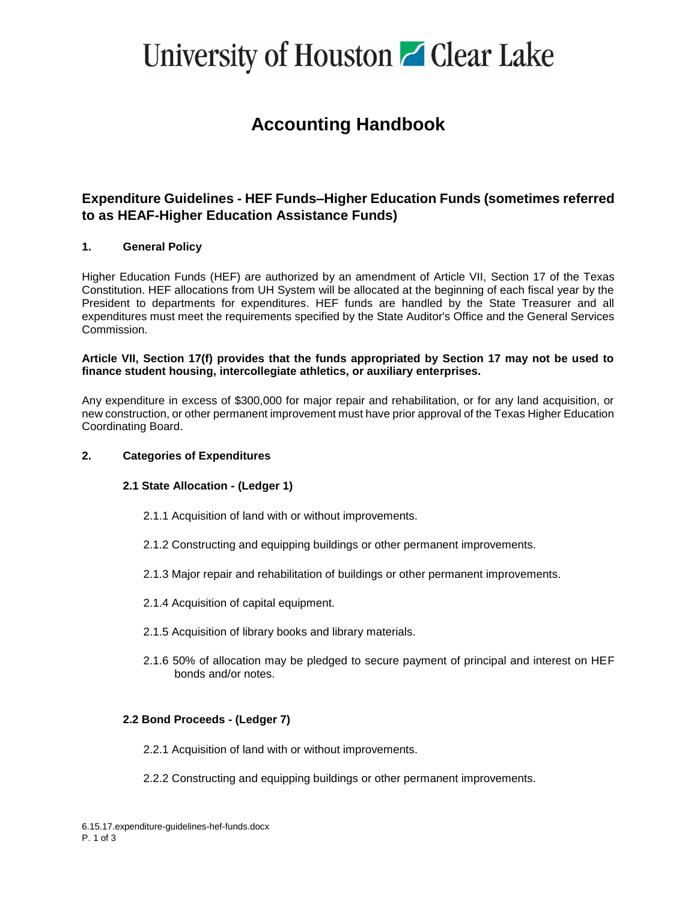# University of Houston **C** Clear Lake

### **Accounting Handbook**

### **Expenditure Guidelines - HEF Funds–Higher Education Funds (sometimes referred to as HEAF-Higher Education Assistance Funds)**

#### **1. General Policy**

Higher Education Funds (HEF) are authorized by an amendment of Article VII, Section 17 of the Texas Constitution. HEF allocations from UH System will be allocated at the beginning of each fiscal year by the President to departments for expenditures. HEF funds are handled by the State Treasurer and all expenditures must meet the requirements specified by the State Auditor's Office and the General Services Commission.

#### **Article VII, Section 17(f) provides that the funds appropriated by Section 17 may not be used to finance student housing, intercollegiate athletics, or auxiliary enterprises.**

Any expenditure in excess of \$300,000 for major repair and rehabilitation, or for any land acquisition, or new construction, or other permanent improvement must have prior approval of the Texas Higher Education Coordinating Board.

#### **2. Categories of Expenditures**

#### **2.1 State Allocation - (Ledger 1)**

- 2.1.1 Acquisition of land with or without improvements.
- 2.1.2 Constructing and equipping buildings or other permanent improvements.
- 2.1.3 Major repair and rehabilitation of buildings or other permanent improvements.
- 2.1.4 Acquisition of capital equipment.
- 2.1.5 Acquisition of library books and library materials.
- 2.1.6 50% of allocation may be pledged to secure payment of principal and interest on HEF bonds and/or notes.

#### **2.2 Bond Proceeds - (Ledger 7)**

- 2.2.1 Acquisition of land with or without improvements.
- 2.2.2 Constructing and equipping buildings or other permanent improvements.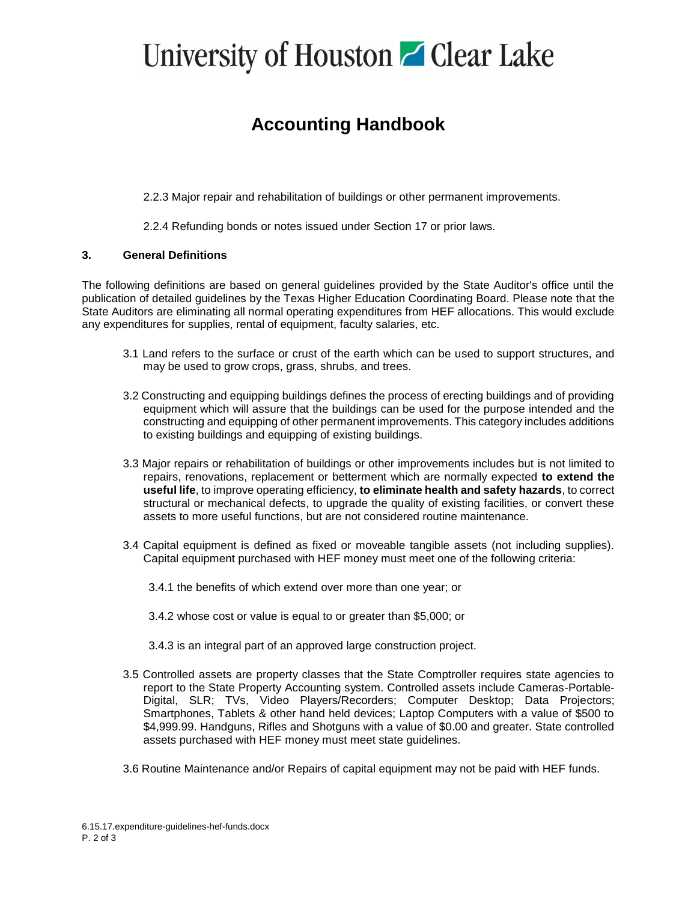# University of Houston **C** Clear Lake

## **Accounting Handbook**

2.2.3 Major repair and rehabilitation of buildings or other permanent improvements.

2.2.4 Refunding bonds or notes issued under Section 17 or prior laws.

#### **3. General Definitions**

The following definitions are based on general guidelines provided by the State Auditor's office until the publication of detailed guidelines by the Texas Higher Education Coordinating Board. Please note that the State Auditors are eliminating all normal operating expenditures from HEF allocations. This would exclude any expenditures for supplies, rental of equipment, faculty salaries, etc.

- 3.1 Land refers to the surface or crust of the earth which can be used to support structures, and may be used to grow crops, grass, shrubs, and trees.
- 3.2 Constructing and equipping buildings defines the process of erecting buildings and of providing equipment which will assure that the buildings can be used for the purpose intended and the constructing and equipping of other permanent improvements. This category includes additions to existing buildings and equipping of existing buildings.
- 3.3 Major repairs or rehabilitation of buildings or other improvements includes but is not limited to repairs, renovations, replacement or betterment which are normally expected **to extend the useful life**, to improve operating efficiency, **to eliminate health and safety hazards**, to correct structural or mechanical defects, to upgrade the quality of existing facilities, or convert these assets to more useful functions, but are not considered routine maintenance.
- 3.4 Capital equipment is defined as fixed or moveable tangible assets (not including supplies). Capital equipment purchased with HEF money must meet one of the following criteria:
	- 3.4.1 the benefits of which extend over more than one year; or
	- 3.4.2 whose cost or value is equal to or greater than \$5,000; or
	- 3.4.3 is an integral part of an approved large construction project.
- 3.5 Controlled assets are property classes that the State Comptroller requires state agencies to report to the State Property Accounting system. Controlled assets include Cameras-Portable-Digital, SLR; TVs, Video Players/Recorders; Computer Desktop; Data Projectors; Smartphones, Tablets & other hand held devices; Laptop Computers with a value of \$500 to \$4,999.99. Handguns, Rifles and Shotguns with a value of \$0.00 and greater. State controlled assets purchased with HEF money must meet state guidelines.
- 3.6 Routine Maintenance and/or Repairs of capital equipment may not be paid with HEF funds.